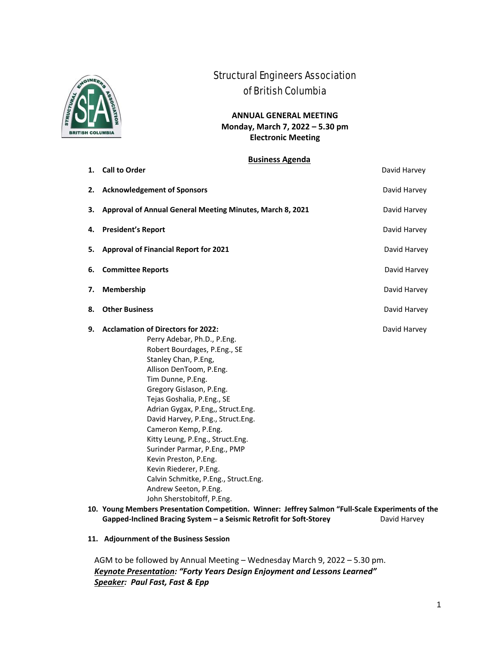

# Structural Engineers Association of British Columbia

**ANNUAL GENERAL MEETING Monday, March 7, 2022 – 5.30 pm Electronic Meeting**

#### **Business Agenda**

**1. Call to Order 1. Call to Order** 

| <b>Acknowledgement of Sponsors</b>                                                                                                                                                                                                                                                                                                                                                                                                                                                                                    | David Harvey                                                                                                                                                                                                          |
|-----------------------------------------------------------------------------------------------------------------------------------------------------------------------------------------------------------------------------------------------------------------------------------------------------------------------------------------------------------------------------------------------------------------------------------------------------------------------------------------------------------------------|-----------------------------------------------------------------------------------------------------------------------------------------------------------------------------------------------------------------------|
| Approval of Annual General Meeting Minutes, March 8, 2021                                                                                                                                                                                                                                                                                                                                                                                                                                                             | David Harvey                                                                                                                                                                                                          |
| <b>President's Report</b>                                                                                                                                                                                                                                                                                                                                                                                                                                                                                             | David Harvey                                                                                                                                                                                                          |
| <b>Approval of Financial Report for 2021</b>                                                                                                                                                                                                                                                                                                                                                                                                                                                                          | David Harvey                                                                                                                                                                                                          |
| <b>Committee Reports</b><br>6.                                                                                                                                                                                                                                                                                                                                                                                                                                                                                        |                                                                                                                                                                                                                       |
| Membership                                                                                                                                                                                                                                                                                                                                                                                                                                                                                                            | David Harvey                                                                                                                                                                                                          |
| <b>Other Business</b>                                                                                                                                                                                                                                                                                                                                                                                                                                                                                                 | David Harvey                                                                                                                                                                                                          |
| Perry Adebar, Ph.D., P.Eng.<br>Robert Bourdages, P.Eng., SE<br>Stanley Chan, P.Eng,<br>Allison DenToom, P.Eng.<br>Tim Dunne, P.Eng.<br>Gregory Gislason, P.Eng.<br>Tejas Goshalia, P.Eng., SE<br>Adrian Gygax, P.Eng,, Struct.Eng.<br>David Harvey, P.Eng., Struct.Eng.<br>Cameron Kemp, P.Eng.<br>Kitty Leung, P.Eng., Struct.Eng.<br>Surinder Parmar, P.Eng., PMP<br>Kevin Preston, P.Eng.<br>Kevin Riederer, P.Eng.<br>Calvin Schmitke, P.Eng., Struct.Eng.<br>Andrew Seeton, P.Eng.<br>John Sherstobitoff, P.Eng. | David Harvey                                                                                                                                                                                                          |
|                                                                                                                                                                                                                                                                                                                                                                                                                                                                                                                       | David Harvey                                                                                                                                                                                                          |
|                                                                                                                                                                                                                                                                                                                                                                                                                                                                                                                       | <b>Acclamation of Directors for 2022:</b><br>10. Young Members Presentation Competition. Winner: Jeffrey Salmon "Full-Scale Experiments of the<br>Gapped-Inclined Bracing System - a Seismic Retrofit for Soft-Storey |

**11. Adjournment of the Business Session** 

AGM to be followed by Annual Meeting – Wednesday March 9, 2022 – 5.30 pm. *Keynote Presentation: "Forty Years Design Enjoyment and Lessons Learned" Speaker: Paul Fast, Fast & Epp*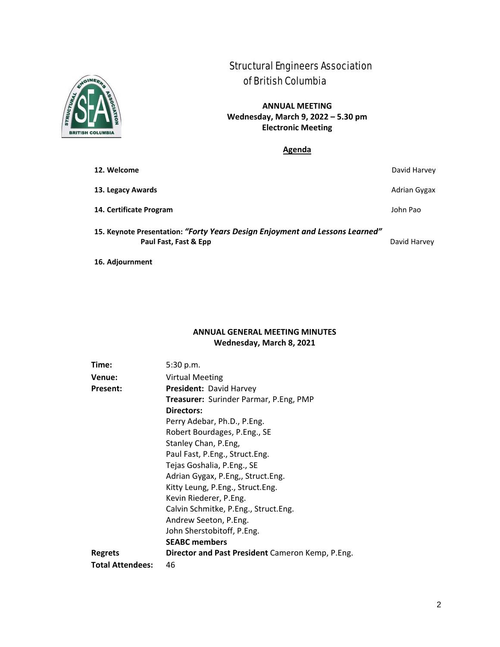

## Structural Engineers Association of British Columbia

**ANNUAL MEETING Wednesday, March 9, 2022 – 5.30 pm Electronic Meeting**

**Agenda**

| 12. Welcome                                                                                           | David Harvey |
|-------------------------------------------------------------------------------------------------------|--------------|
| 13. Legacy Awards                                                                                     | Adrian Gygax |
| 14. Certificate Program                                                                               | John Pao     |
| 15. Keynote Presentation: "Forty Years Design Enjoyment and Lessons Learned"<br>Paul Fast, Fast & Epp | David Harvey |

**16. Adjournment** 

## **ANNUAL GENERAL MEETING MINUTES Wednesday, March 8, 2021**

| Time:                   | 5:30 p.m.                                        |
|-------------------------|--------------------------------------------------|
| Venue:                  | <b>Virtual Meeting</b>                           |
| Present:                | <b>President: David Harvey</b>                   |
|                         | Treasurer: Surinder Parmar, P.Eng, PMP           |
|                         | Directors:                                       |
|                         | Perry Adebar, Ph.D., P.Eng.                      |
|                         | Robert Bourdages, P.Eng., SE                     |
|                         | Stanley Chan, P.Eng,                             |
|                         | Paul Fast, P.Eng., Struct.Eng.                   |
|                         | Tejas Goshalia, P.Eng., SE                       |
|                         | Adrian Gygax, P.Eng,, Struct.Eng.                |
|                         | Kitty Leung, P.Eng., Struct.Eng.                 |
|                         | Kevin Riederer, P.Eng.                           |
|                         | Calvin Schmitke, P.Eng., Struct.Eng.             |
|                         | Andrew Seeton, P.Eng.                            |
|                         | John Sherstobitoff, P.Eng.                       |
|                         | <b>SEABC</b> members                             |
| <b>Regrets</b>          | Director and Past President Cameron Kemp, P.Eng. |
| <b>Total Attendees:</b> | 46                                               |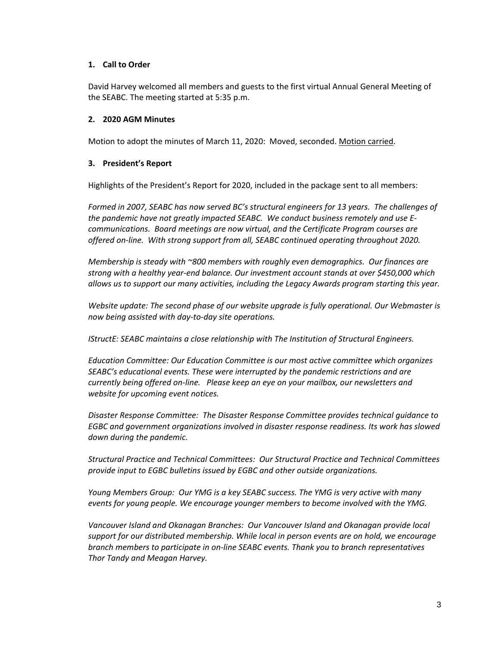### **1. Call to Order**

David Harvey welcomed all members and guests to the first virtual Annual General Meeting of the SEABC. The meeting started at 5:35 p.m.

### **2. 2020 AGM Minutes**

Motion to adopt the minutes of March 11, 2020: Moved, seconded. Motion carried.

#### **3. President's Report**

Highlights of the President's Report for 2020, included in the package sent to all members:

*Formed in 2007, SEABC has now served BC's structural engineers for 13 years. The challenges of the pandemic have not greatly impacted SEABC. We conduct business remotely and use E‐ communications. Board meetings are now virtual, and the Certificate Program courses are offered on‐line. With strong support from all, SEABC continued operating throughout 2020.*

*Membership is steady with ~800 members with roughly even demographics. Our finances are strong with a healthy year‐end balance. Our investment account stands at over \$450,000 which allows us to support our many activities, including the Legacy Awards program starting this year.*

*Website update: The second phase of our website upgrade is fully operational. Our Webmaster is now being assisted with day‐to‐day site operations.* 

*IStructE: SEABC maintains a close relationship with The Institution of Structural Engineers.* 

*Education Committee: Our Education Committee is our most active committee which organizes SEABC's educational events. These were interrupted by the pandemic restrictions and are currently being offered on‐line. Please keep an eye on your mailbox, our newsletters and website for upcoming event notices.*

*Disaster Response Committee: The Disaster Response Committee provides technical guidance to EGBC and government organizations involved in disaster response readiness. Its work has slowed down during the pandemic.* 

*Structural Practice and Technical Committees: Our Structural Practice and Technical Committees provide input to EGBC bulletins issued by EGBC and other outside organizations.* 

*Young Members Group: Our YMG is a key SEABC success. The YMG is very active with many events for young people. We encourage younger members to become involved with the YMG.*

*Vancouver Island and Okanagan Branches: Our Vancouver Island and Okanagan provide local support for our distributed membership. While local in person events are on hold, we encourage branch members to participate in on‐line SEABC events. Thank you to branch representatives Thor Tandy and Meagan Harvey.*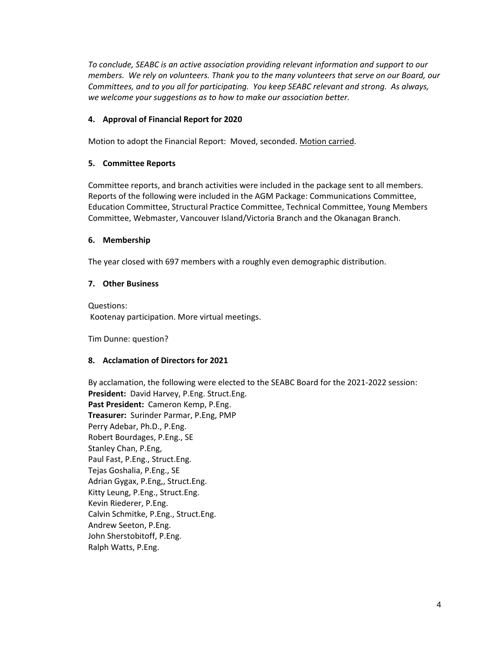*To conclude, SEABC is an active association providing relevant information and support to our members. We rely on volunteers. Thank you to the many volunteers that serve on our Board, our Committees, and to you all for participating. You keep SEABC relevant and strong. As always, we welcome your suggestions as to how to make our association better.*

## **4. Approval of Financial Report for 2020**

Motion to adopt the Financial Report: Moved, seconded. Motion carried.

## **5. Committee Reports**

Committee reports, and branch activities were included in the package sent to all members. Reports of the following were included in the AGM Package: Communications Committee, Education Committee, Structural Practice Committee, Technical Committee, Young Members Committee, Webmaster, Vancouver Island/Victoria Branch and the Okanagan Branch.

## **6. Membership**

The year closed with 697 members with a roughly even demographic distribution.

## **7. Other Business**

Questions: Kootenay participation. More virtual meetings.

Tim Dunne: question?

### **8. Acclamation of Directors for 2021**

By acclamation, the following were elected to the SEABC Board for the 2021‐2022 session: President: David Harvey, P.Eng. Struct.Eng. **Past President:** Cameron Kemp, P.Eng. **Treasurer:** Surinder Parmar, P.Eng, PMP Perry Adebar, Ph.D., P.Eng. Robert Bourdages, P.Eng., SE Stanley Chan, P.Eng, Paul Fast, P.Eng., Struct.Eng. Tejas Goshalia, P.Eng., SE Adrian Gygax, P.Eng,, Struct.Eng. Kitty Leung, P.Eng., Struct.Eng. Kevin Riederer, P.Eng. Calvin Schmitke, P.Eng., Struct.Eng. Andrew Seeton, P.Eng. John Sherstobitoff, P.Eng. Ralph Watts, P.Eng.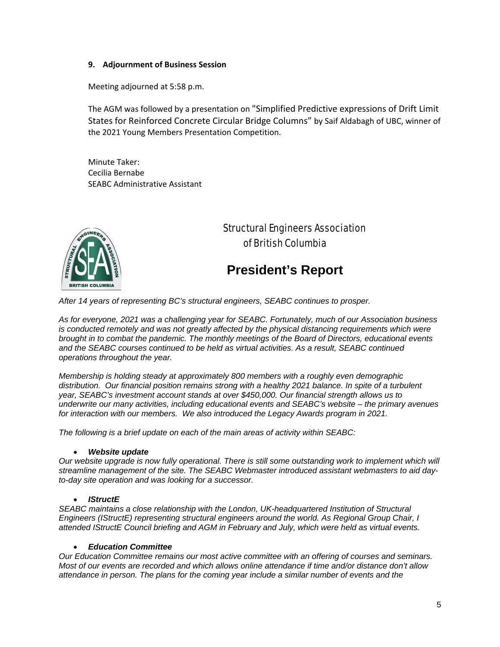### **9. Adjournment of Business Session**

Meeting adjourned at 5:58 p.m.

The AGM was followed by a presentation on "Simplified Predictive expressions of Drift Limit States for Reinforced Concrete Circular Bridge Columns" by Saif Aldabagh of UBC, winner of the 2021 Young Members Presentation Competition.

Minute Taker: Cecilia Bernabe SEABC Administrative Assistant



## Structural Engineers Association of British Columbia

# **President's Report**

*After 14 years of representing BC's structural engineers, SEABC continues to prosper.* 

*As for everyone, 2021 was a challenging year for SEABC. Fortunately, much of our Association business is conducted remotely and was not greatly affected by the physical distancing requirements which were brought in to combat the pandemic. The monthly meetings of the Board of Directors, educational events and the SEABC courses continued to be held as virtual activities. As a result, SEABC continued operations throughout the year.* 

*Membership is holding steady at approximately 800 members with a roughly even demographic distribution. Our financial position remains strong with a healthy 2021 balance. In spite of a turbulent year, SEABC's investment account stands at over \$450,000. Our financial strength allows us to underwrite our many activities, including educational events and SEABC's website – the primary avenues for interaction with our members. We also introduced the Legacy Awards program in 2021.* 

*The following is a brief update on each of the main areas of activity within SEABC:* 

#### *Website update*

*Our website upgrade is now fully operational. There is still some outstanding work to implement which will streamline management of the site. The SEABC Webmaster introduced assistant webmasters to aid dayto-day site operation and was looking for a successor.* 

#### *IStructE*

*SEABC maintains a close relationship with the London, UK-headquartered Institution of Structural Engineers (IStructE) representing structural engineers around the world. As Regional Group Chair, I attended IStructE Council briefing and AGM in February and July, which were held as virtual events.* 

#### *Education Committee*

*Our Education Committee remains our most active committee with an offering of courses and seminars. Most of our events are recorded and which allows online attendance if time and/or distance don't allow attendance in person. The plans for the coming year include a similar number of events and the*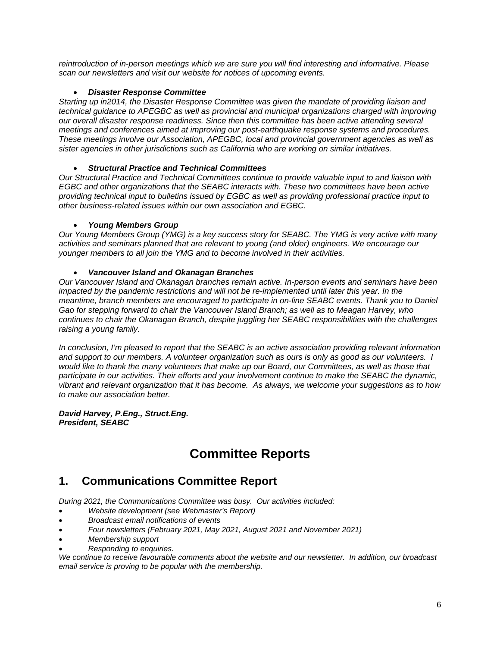*reintroduction of in-person meetings which we are sure you will find interesting and informative. Please scan our newsletters and visit our website for notices of upcoming events.* 

### *Disaster Response Committee*

*Starting up in2014, the Disaster Response Committee was given the mandate of providing liaison and technical guidance to APEGBC as well as provincial and municipal organizations charged with improving our overall disaster response readiness. Since then this committee has been active attending several meetings and conferences aimed at improving our post-earthquake response systems and procedures. These meetings involve our Association, APEGBC, local and provincial government agencies as well as sister agencies in other jurisdictions such as California who are working on similar initiatives.* 

## *Structural Practice and Technical Committees*

*Our Structural Practice and Technical Committees continue to provide valuable input to and liaison with EGBC and other organizations that the SEABC interacts with. These two committees have been active providing technical input to bulletins issued by EGBC as well as providing professional practice input to other business-related issues within our own association and EGBC.* 

## *Young Members Group*

*Our Young Members Group (YMG) is a key success story for SEABC. The YMG is very active with many activities and seminars planned that are relevant to young (and older) engineers. We encourage our younger members to all join the YMG and to become involved in their activities.* 

## *Vancouver Island and Okanagan Branches*

*Our Vancouver Island and Okanagan branches remain active. In-person events and seminars have been impacted by the pandemic restrictions and will not be re-implemented until later this year. In the meantime, branch members are encouraged to participate in on-line SEABC events. Thank you to Daniel Gao for stepping forward to chair the Vancouver Island Branch; as well as to Meagan Harvey, who continues to chair the Okanagan Branch, despite juggling her SEABC responsibilities with the challenges raising a young family.* 

*In conclusion, I'm pleased to report that the SEABC is an active association providing relevant information and support to our members. A volunteer organization such as ours is only as good as our volunteers. I would like to thank the many volunteers that make up our Board, our Committees, as well as those that participate in our activities. Their efforts and your involvement continue to make the SEABC the dynamic, vibrant and relevant organization that it has become. As always, we welcome your suggestions as to how to make our association better.* 

#### *David Harvey, P.Eng., Struct.Eng. President, SEABC*

# **Committee Reports**

## **1. Communications Committee Report**

*During 2021, the Communications Committee was busy. Our activities included:* 

- *Website development (see Webmaster's Report)*
- *Broadcast email notifications of events*
- *Four newsletters (February 2021, May 2021, August 2021 and November 2021)*
- *Membership support*
- *Responding to enquiries.*

*We continue to receive favourable comments about the website and our newsletter. In addition, our broadcast email service is proving to be popular with the membership.*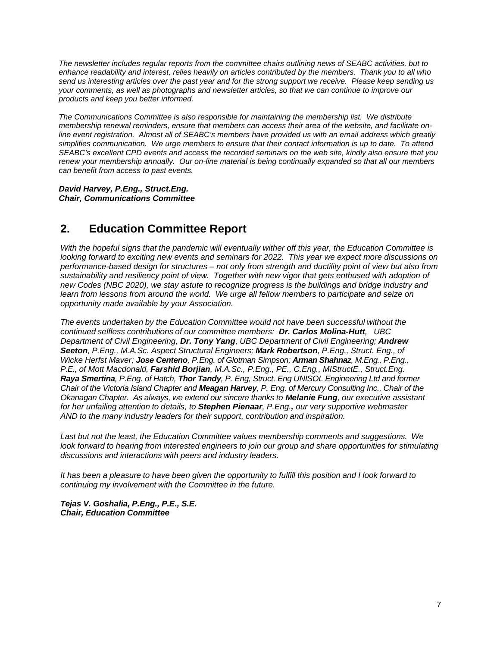*The newsletter includes regular reports from the committee chairs outlining news of SEABC activities, but to enhance readability and interest, relies heavily on articles contributed by the members. Thank you to all who send us interesting articles over the past year and for the strong support we receive. Please keep sending us your comments, as well as photographs and newsletter articles, so that we can continue to improve our products and keep you better informed.* 

*The Communications Committee is also responsible for maintaining the membership list. We distribute membership renewal reminders, ensure that members can access their area of the website, and facilitate online event registration. Almost all of SEABC's members have provided us with an email address which greatly simplifies communication. We urge members to ensure that their contact information is up to date. To attend SEABC's excellent CPD events and access the recorded seminars on the web site, kindly also ensure that you renew your membership annually. Our on-line material is being continually expanded so that all our members can benefit from access to past events.* 

*David Harvey, P.Eng., Struct.Eng. Chair, Communications Committee* 

## **2. Education Committee Report**

*With the hopeful signs that the pandemic will eventually wither off this year, the Education Committee is looking forward to exciting new events and seminars for 2022. This year we expect more discussions on performance-based design for structures – not only from strength and ductility point of view but also from sustainability and resiliency point of view. Together with new vigor that gets enthused with adoption of new Codes (NBC 2020), we stay astute to recognize progress is the buildings and bridge industry and learn from lessons from around the world. We urge all fellow members to participate and seize on opportunity made available by your Association.* 

*The events undertaken by the Education Committee would not have been successful without the continued selfless contributions of our committee members: Dr. Carlos Molina-Hutt, UBC Department of Civil Engineering, Dr. Tony Yang, UBC Department of Civil Engineering; Andrew Seeton, P.Eng., M.A.Sc. Aspect Structural Engineers; Mark Robertson, P.Eng., Struct. Eng., of Wicke Herfst Maver; Jose Centeno, P.Eng. of Glotman Simpson; Arman Shahnaz, M.Eng., P.Eng., P.E., of Mott Macdonald, Farshid Borjian, M.A.Sc., P.Eng., PE., C.Eng., MIStructE., Struct.Eng. Raya Smertina, P.Eng. of Hatch, Thor Tandy, P. Eng, Struct. Eng UNISOL Engineering Ltd and former Chair of the Victoria Island Chapter and Meagan Harvey, P. Eng. of Mercury Consulting Inc., Chair of the Okanagan Chapter. As always, we extend our sincere thanks to Melanie Fung, our executive assistant for her unfailing attention to details, to Stephen Pienaar, P.Eng., our very supportive webmaster AND to the many industry leaders for their support, contribution and inspiration.*

*Last but not the least, the Education Committee values membership comments and suggestions. We look forward to hearing from interested engineers to join our group and share opportunities for stimulating discussions and interactions with peers and industry leaders.*

*It has been a pleasure to have been given the opportunity to fulfill this position and I look forward to continuing my involvement with the Committee in the future.*

*Tejas V. Goshalia, P.Eng., P.E., S.E. Chair, Education Committee*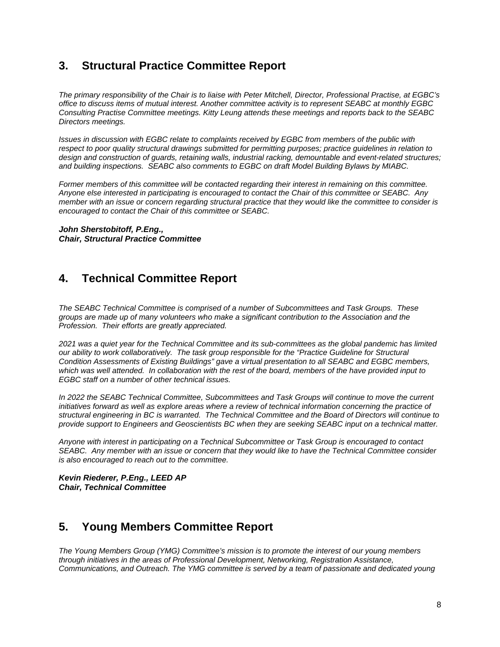## **3. Structural Practice Committee Report**

*The primary responsibility of the Chair is to liaise with Peter Mitchell, Director, Professional Practise, at EGBC's office to discuss items of mutual interest. Another committee activity is to represent SEABC at monthly EGBC Consulting Practise Committee meetings. Kitty Leung attends these meetings and reports back to the SEABC Directors meetings.* 

*Issues in discussion with EGBC relate to complaints received by EGBC from members of the public with respect to poor quality structural drawings submitted for permitting purposes; practice guidelines in relation to design and construction of guards, retaining walls, industrial racking, demountable and event-related structures; and building inspections. SEABC also comments to EGBC on draft Model Building Bylaws by MIABC.* 

*Former members of this committee will be contacted regarding their interest in remaining on this committee. Anyone else interested in participating is encouraged to contact the Chair of this committee or SEABC. Any member with an issue or concern regarding structural practice that they would like the committee to consider is encouraged to contact the Chair of this committee or SEABC.* 

*John Sherstobitoff, P.Eng., Chair, Structural Practice Committee* 

## **4. Technical Committee Report**

*The SEABC Technical Committee is comprised of a number of Subcommittees and Task Groups. These groups are made up of many volunteers who make a significant contribution to the Association and the Profession. Their efforts are greatly appreciated.* 

*2021 was a quiet year for the Technical Committee and its sub-committees as the global pandemic has limited our ability to work collaboratively. The task group responsible for the "Practice Guideline for Structural Condition Assessments of Existing Buildings" gave a virtual presentation to all SEABC and EGBC members, which was well attended. In collaboration with the rest of the board, members of the have provided input to EGBC staff on a number of other technical issues.* 

*In 2022 the SEABC Technical Committee, Subcommittees and Task Groups will continue to move the current initiatives forward as well as explore areas where a review of technical information concerning the practice of structural engineering in BC is warranted. The Technical Committee and the Board of Directors will continue to provide support to Engineers and Geoscientists BC when they are seeking SEABC input on a technical matter.* 

*Anyone with interest in participating on a Technical Subcommittee or Task Group is encouraged to contact SEABC. Any member with an issue or concern that they would like to have the Technical Committee consider is also encouraged to reach out to the committee.* 

*Kevin Riederer, P.Eng., LEED AP Chair, Technical Committee* 

## **5. Young Members Committee Report**

*The Young Members Group (YMG) Committee's mission is to promote the interest of our young members through initiatives in the areas of Professional Development, Networking, Registration Assistance, Communications, and Outreach. The YMG committee is served by a team of passionate and dedicated young*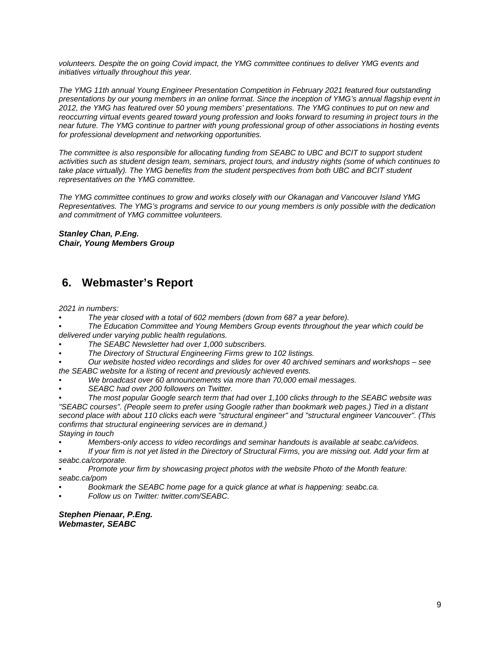*volunteers. Despite the on going Covid impact, the YMG committee continues to deliver YMG events and initiatives virtually throughout this year.* 

*The YMG 11th annual Young Engineer Presentation Competition in February 2021 featured four outstanding presentations by our young members in an online format. Since the inception of YMG's annual flagship event in 2012, the YMG has featured over 50 young members' presentations. The YMG continues to put on new and reoccurring virtual events geared toward young profession and looks forward to resuming in project tours in the near future. The YMG continue to partner with young professional group of other associations in hosting events for professional development and networking opportunities.* 

*The committee is also responsible for allocating funding from SEABC to UBC and BCIT to support student activities such as student design team, seminars, project tours, and industry nights (some of which continues to*  take place virtually). The YMG benefits from the student perspectives from both UBC and BCIT student *representatives on the YMG committee.* 

*The YMG committee continues to grow and works closely with our Okanagan and Vancouver Island YMG Representatives. The YMG's programs and service to our young members is only possible with the dedication and commitment of YMG committee volunteers.* 

*Stanley Chan, P.Eng. Chair, Young Members Group* 

## **6. Webmaster's Report**

*2021 in numbers:* 

- *The year closed with a total of 602 members (down from 687 a year before).*
- *The Education Committee and Young Members Group events throughout the year which could be delivered under varying public health regulations.*
- *The SEABC Newsletter had over 1,000 subscribers.*
- *The Directory of Structural Engineering Firms grew to 102 listings.*
- *Our website hosted video recordings and slides for over 40 archived seminars and workshops see the SEABC website for a listing of recent and previously achieved events.*
- *We broadcast over 60 announcements via more than 70,000 email messages.*
- *SEABC had over 200 followers on Twitter.*
- *The most popular Google search term that had over 1,100 clicks through to the SEABC website was "SEABC courses". (People seem to prefer using Google rather than bookmark web pages.) Tied in a distant second place with about 110 clicks each were "structural engineer" and "structural engineer Vancouver". (This confirms that structural engineering services are in demand.) Staying in touch*
- *Members-only access to video recordings and seminar handouts is available at seabc.ca/videos.*
- *If your firm is not yet listed in the Directory of Structural Firms, you are missing out. Add your firm at seabc.ca/corporate.*
- *Promote your firm by showcasing project photos with the website Photo of the Month feature: seabc.ca/pom*
- *Bookmark the SEABC home page for a quick glance at what is happening: seabc.ca.*
- *Follow us on Twitter: twitter.com/SEABC.*

*Stephen Pienaar, P.Eng. Webmaster, SEABC*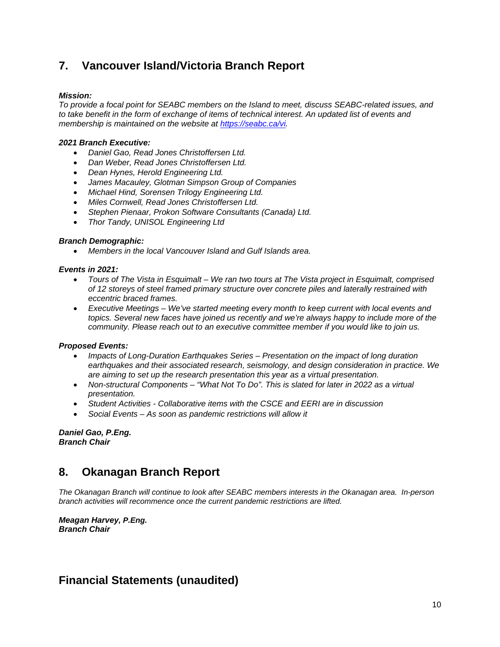## **7. Vancouver Island/Victoria Branch Report**

### *Mission:*

*To provide a focal point for SEABC members on the Island to meet, discuss SEABC-related issues, and to take benefit in the form of exchange of items of technical interest. An updated list of events and membership is maintained on the website at https://seabc.ca/vi.* 

### *2021 Branch Executive:*

- *Daniel Gao, Read Jones Christoffersen Ltd.*
- *Dan Weber, Read Jones Christoffersen Ltd.*
- *Dean Hynes, Herold Engineering Ltd.*
- *James Macauley, Glotman Simpson Group of Companies*
- *Michael Hind, Sorensen Trilogy Engineering Ltd.*
- *Miles Cornwell, Read Jones Christoffersen Ltd.*
- *Stephen Pienaar, Prokon Software Consultants (Canada) Ltd.*
- *Thor Tandy, UNISOL Engineering Ltd*

### *Branch Demographic:*

*Members in the local Vancouver Island and Gulf Islands area.* 

#### *Events in 2021:*

- *Tours of The Vista in Esquimalt We ran two tours at The Vista project in Esquimalt, comprised of 12 storeys of steel framed primary structure over concrete piles and laterally restrained with eccentric braced frames.*
- *Executive Meetings We've started meeting every month to keep current with local events and topics. Several new faces have joined us recently and we're always happy to include more of the community. Please reach out to an executive committee member if you would like to join us.*

### *Proposed Events:*

- *Impacts of Long-Duration Earthquakes Series Presentation on the impact of long duration earthquakes and their associated research, seismology, and design consideration in practice. We are aiming to set up the research presentation this year as a virtual presentation.*
- *Non-structural Components "What Not To Do". This is slated for later in 2022 as a virtual presentation.*
- *Student Activities Collaborative items with the CSCE and EERI are in discussion*
- *Social Events As soon as pandemic restrictions will allow it*

*Daniel Gao, P.Eng. Branch Chair* 

## **8. Okanagan Branch Report**

*The Okanagan Branch will continue to look after SEABC members interests in the Okanagan area. In-person branch activities will recommence once the current pandemic restrictions are lifted.* 

*Meagan Harvey, P.Eng. Branch Chair*

## **Financial Statements (unaudited)**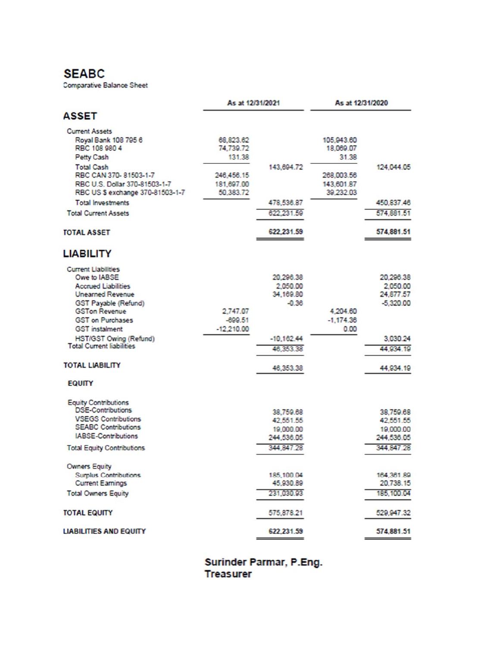## **SEABC**

Comparative Balance Sheet

|                                                                   | As at 12/31/2021        |                      | As at 12/31/2020        |                          |
|-------------------------------------------------------------------|-------------------------|----------------------|-------------------------|--------------------------|
| <b>ASSET</b>                                                      |                         |                      |                         |                          |
| <b>Current Assets</b>                                             |                         |                      |                         |                          |
| Royal Bank 108 795 6                                              | 68.823.62               |                      | 105,943.60              |                          |
| RBC 108 980 4                                                     | 74,739.72               |                      | 18,069.07               |                          |
| Petty Cash                                                        | 131.38                  |                      | 31.38                   |                          |
| <b>Total Cash</b>                                                 |                         | 143,694.72           |                         | 124.044.05               |
| RBC CAN 370-81503-1-7                                             | 246,456.15              |                      | 268,003.56              |                          |
| RBC U.S. Dollar 370-81503-1-7<br>RBC US \$ exchange 370-81503-1-7 | 181,697.00<br>50.383.72 |                      | 143,601.87<br>39,232.03 |                          |
| <b>Total Investments</b>                                          |                         | 478,536.87           |                         | 450,837.46               |
|                                                                   |                         | 622 231.59           |                         | 574,881.51               |
| <b>Total Current Assets</b>                                       |                         |                      |                         |                          |
| <b>TOTAL ASSET</b>                                                |                         | 622.231.59           |                         | 574,881.51               |
| <b>LIABILITY</b>                                                  |                         |                      |                         |                          |
| <b>Current Liabilities</b>                                        |                         |                      |                         |                          |
| Owe to IABSE                                                      |                         | 20,296.38            |                         | 20,296.38                |
| <b>Accrued Liabilities</b><br><b>Unearned Revenue</b>             |                         | 2,050.00             |                         | 2,050.00                 |
|                                                                   |                         | 34,169.80<br>$-0.36$ |                         | 24,877.57<br>$-5,320.00$ |
| GST Payable (Refund)<br><b>GSTon Revenue</b>                      | 2,747.07                |                      | 4,204.60                |                          |
| <b>GST on Purchases</b>                                           | $-699.51$               |                      | $-1,174.36$             |                          |
| <b>GST</b> instalment                                             | $-12,210.00$            |                      | 0.00                    |                          |
| HST/GST Owing (Refund)                                            |                         | $-10.162.44$         |                         | 3.030.24                 |
| <b>Total Current liabilities</b>                                  |                         | 46,353.38            |                         | 44,934.19                |
|                                                                   |                         |                      |                         |                          |
| <b>TOTAL LIABILITY</b>                                            |                         | 46,353.38            |                         | 44,934.19                |
| <b>EQUITY</b>                                                     |                         |                      |                         |                          |
| <b>Equity Contributions</b>                                       |                         |                      |                         |                          |
| <b>DSE-Contributions</b>                                          |                         | 38,759.68            |                         | 38,759.68                |
| <b>VSEGS Contributions</b>                                        |                         | 42.551.55            |                         | 42,551.55                |
| <b>SEABC Contributions</b><br><b>IABSE-Contributions</b>          |                         | 19,000.00            |                         | 19,000.00                |
|                                                                   |                         | 244,536.05           |                         | 244,536.05               |
| <b>Total Equity Contributions</b>                                 |                         | 344,847.28           |                         | 344,847.28               |
| <b>Owners Equity</b>                                              |                         |                      |                         |                          |
| <b>Surplus Contributions</b>                                      |                         | 185,100.04           |                         | 164,361.89               |
| <b>Current Earnings</b>                                           |                         | 45,930.89            |                         | 20,738.15                |
| <b>Total Owners Equity</b>                                        |                         | 231,030.93           |                         | 185, 100.04              |
| <b>TOTAL EQUITY</b>                                               |                         | 575,878.21           |                         | 529,947.32               |
| <b>LIABILITIES AND EQUITY</b>                                     |                         | 622,231.59           |                         | 574,881.51               |

Surinder Parmar, P.Eng. **Treasurer**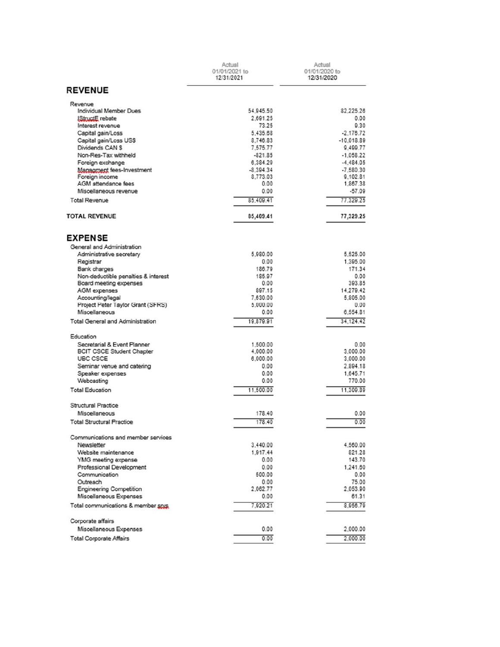|                                                               | Actual<br>01/01/2021 to<br>12/31/2021 |                         |
|---------------------------------------------------------------|---------------------------------------|-------------------------|
| <b>REVENUE</b>                                                |                                       |                         |
| Revenue                                                       |                                       |                         |
| Individual Member Dues<br>IStructE rebate                     | 54.945.50<br>2.691.25                 | 82.225.26<br>0.00       |
| Interest revenue                                              | 73.25                                 | 9.30                    |
| Capital gain/Loss                                             | 5.435.68                              | $-2.176.72$             |
| Capital gain/Loss US\$                                        | 8.746.83                              | $-10.018.89$            |
| Dividends CAN S                                               | 7,575.77                              | 9.499.77                |
| Non-Res-Tax withheld                                          | $-821.85$                             | $-1.058.22$             |
| Foreign exchange                                              | 6,384.29                              | $-4.484.05$             |
| Managment fees-Investment<br>Foreign income                   | $-8.394.34$<br>8,773.03               | $-7.580.30$<br>9,102.81 |
| AGM attendance fees                                           | 0.00                                  | 1,867.38                |
| Miscellaneous revenue                                         | 0.00                                  | $-57.09$                |
| <b>Total Revenue</b>                                          | 85.409.41                             | 77.329.25               |
| <b>TOTAL REVENUE</b>                                          | 85,409.41                             | 77.329.25               |
| <b>EXPENSE</b>                                                |                                       |                         |
| General and Administration                                    |                                       |                         |
| Administrative secretary                                      | 5,980.00                              | 5.525.00                |
| Registrar                                                     | 0.00                                  | 1.395.00                |
| Bank charges                                                  | 186.79                                | 171.34                  |
| Non-deductible penalties & interest<br>Board meeting expenses | 185.97<br>0.00                        | 0.00<br>393.85          |
| AGM expenses                                                  | 897.15                                | 14,279.42               |
| Accounting/legal                                              | 7,630.00                              | 5.805.00                |
| Project Peter Taylor Grant (SFRS)                             | 5,000.00                              | 0.00                    |
| Miscellaneous                                                 | 0.00                                  | 6.554.81                |
| Total General and Administration                              | 19,879.91                             | 34.124.42               |
| Education                                                     |                                       |                         |
| Secretarial & Event Planner                                   | 1,500.00                              | 0.00                    |
| <b>BCIT CSCE Student Chapter</b>                              | 4,000.00                              | 3,000.00                |
| UBC CSCE                                                      | 6,000.00<br>0.00                      | 3,000.00                |
| Seminar venue and catering<br>Speaker expenses                | 0.00                                  | 2,894.18<br>1,645.71    |
| Webcasting                                                    | 0.00                                  | 770.00                  |
| <b>Total Education</b>                                        | 11,500.00                             | 11.309.89               |
| Structural Practice                                           |                                       |                         |
| Miscellaneous                                                 | 178.40                                | 0.00                    |
| <b>Total Structural Practice</b>                              | 178.40                                | 0.00                    |
| Communications and member services                            |                                       |                         |
| Newsletter                                                    | 3,440.00                              | 4,560.00                |
| Website maintenance                                           | 1,917.44                              | 821.28                  |
| YMG meeting expense                                           | 0.00                                  | 143.70                  |
| Professional Development<br>Communication                     | 0.00<br>500.00                        | 1,241.60                |
| Outreach                                                      | 0.00                                  | 0.00<br>75.00           |
| <b>Engineering Competition</b>                                | 2,062.77                              | 2,053.90                |
| Miscellaneous Expenses                                        | 0.00                                  | 61.31                   |
| Total communications & member spys                            | 7,920.21                              | 8.956.79                |
| Corporate affairs                                             |                                       |                         |
| Miscellaneous Expenses                                        | 0.00                                  | 2,000.00                |
| <b>Total Corporate Affairs</b>                                | 0.00                                  | 2,000.00                |
|                                                               |                                       |                         |